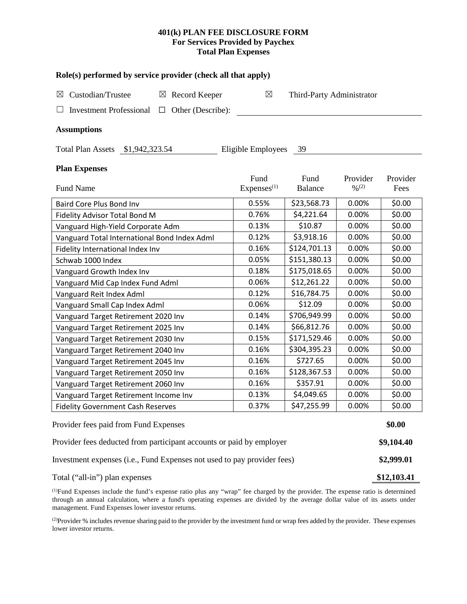## **401(k) PLAN FEE DISCLOSURE FORM For Services Provided by Paychex Total Plan Expenses**

| Role(s) performed by service provider (check all that apply)            |                        |                           |                              |             |  |  |
|-------------------------------------------------------------------------|------------------------|---------------------------|------------------------------|-------------|--|--|
| Custodian/Trustee<br>$\boxtimes$ Record Keeper<br>⊠                     | $\boxtimes$            | Third-Party Administrator |                              |             |  |  |
| <b>Investment Professional</b><br>Other (Describe):<br>$\Box$           |                        |                           |                              |             |  |  |
| <b>Assumptions</b>                                                      |                        |                           |                              |             |  |  |
| Total Plan Assets \$1,942,323.54                                        | Eligible Employees     | 39                        |                              |             |  |  |
| <b>Plan Expenses</b>                                                    |                        |                           |                              |             |  |  |
|                                                                         | Fund                   | Fund                      | Provider                     | Provider    |  |  |
| <b>Fund Name</b>                                                        | Express <sup>(1)</sup> | Balance                   | $\frac{0}{2}$ <sup>(2)</sup> | Fees        |  |  |
| Baird Core Plus Bond Inv                                                | 0.55%                  | \$23,568.73               | 0.00%                        | \$0.00      |  |  |
| Fidelity Advisor Total Bond M                                           | 0.76%                  | \$4,221.64                | 0.00%                        | \$0.00      |  |  |
| Vanguard High-Yield Corporate Adm                                       | 0.13%                  | \$10.87                   | 0.00%                        | \$0.00      |  |  |
| Vanguard Total International Bond Index Adml                            | 0.12%                  | \$3,918.16                | 0.00%                        | \$0.00      |  |  |
| Fidelity International Index Inv                                        | 0.16%                  | \$124,701.13              | 0.00%                        | \$0.00      |  |  |
| Schwab 1000 Index                                                       | 0.05%                  | \$151,380.13              | 0.00%                        | \$0.00      |  |  |
| Vanguard Growth Index Inv                                               | 0.18%                  | \$175,018.65              | 0.00%                        | \$0.00      |  |  |
| Vanguard Mid Cap Index Fund Adml                                        | 0.06%                  | \$12,261.22               | 0.00%                        | \$0.00      |  |  |
| Vanguard Reit Index Adml                                                | 0.12%                  | \$16,784.75               | 0.00%                        | \$0.00      |  |  |
| Vanguard Small Cap Index Adml                                           | 0.06%                  | \$12.09                   | 0.00%                        | \$0.00      |  |  |
| Vanguard Target Retirement 2020 Inv                                     | 0.14%                  | \$706,949.99              | 0.00%                        | \$0.00      |  |  |
| Vanguard Target Retirement 2025 Inv                                     | 0.14%                  | \$66,812.76               | 0.00%                        | \$0.00      |  |  |
| Vanguard Target Retirement 2030 Inv                                     | 0.15%                  | \$171,529.46              | 0.00%                        | \$0.00      |  |  |
| Vanguard Target Retirement 2040 Inv                                     | 0.16%                  | \$304,395.23              | 0.00%                        | \$0.00      |  |  |
| Vanguard Target Retirement 2045 Inv                                     | 0.16%                  | \$727.65                  | 0.00%                        | \$0.00      |  |  |
| Vanguard Target Retirement 2050 Inv                                     | 0.16%                  | \$128,367.53              | 0.00%                        | \$0.00      |  |  |
| Vanguard Target Retirement 2060 Inv                                     | 0.16%                  | \$357.91                  | 0.00%                        | \$0.00      |  |  |
| Vanguard Target Retirement Income Inv                                   | 0.13%                  | \$4,049.65                | 0.00%                        | \$0.00      |  |  |
| <b>Fidelity Government Cash Reserves</b>                                | 0.37%                  | \$47,255.99               | 0.00%                        | \$0.00      |  |  |
| Provider fees paid from Fund Expenses                                   |                        |                           |                              | \$0.00      |  |  |
| Provider fees deducted from participant accounts or paid by employer    |                        |                           |                              |             |  |  |
| Investment expenses (i.e., Fund Expenses not used to pay provider fees) |                        |                           |                              |             |  |  |
| Total ("all-in") plan expenses                                          |                        |                           |                              | \$12,103.41 |  |  |

(1) Fund Expenses include the fund's expense ratio plus any "wrap" fee charged by the provider. The expense ratio is determined through an annual calculation, where a fund's operating expenses are divided by the average dollar value of its assets under management. Fund Expenses lower investor returns.

(2) Provider % includes revenue sharing paid to the provider by the investment fund or wrap fees added by the provider. These expenses lower investor returns.